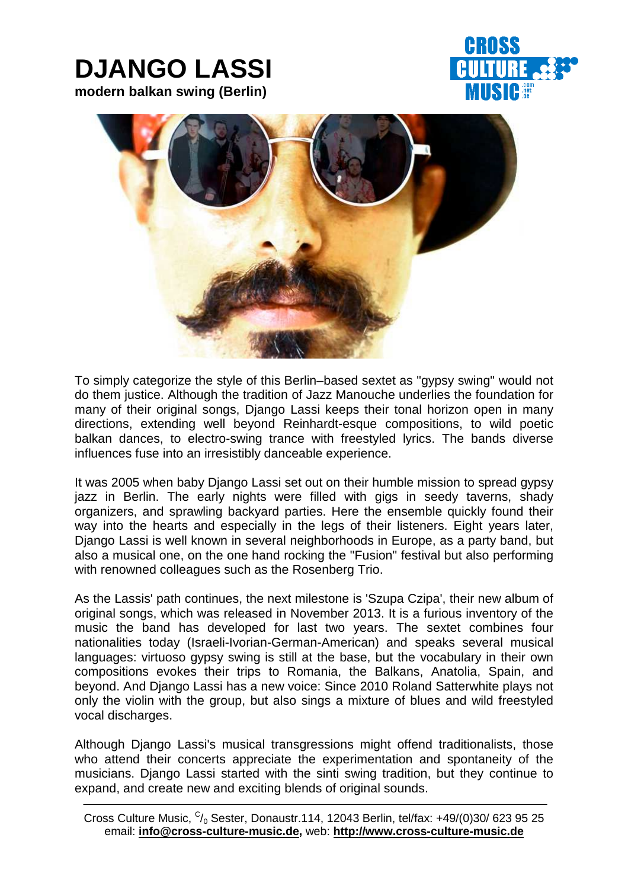# **DJANGO LASSI modern balkan swing (Berlin)**





To simply categorize the style of this Berlin–based sextet as "gypsy swing" would not do them justice. Although the tradition of Jazz Manouche underlies the foundation for many of their original songs, Django Lassi keeps their tonal horizon open in many directions, extending well beyond Reinhardt-esque compositions, to wild poetic balkan dances, to electro-swing trance with freestyled lyrics. The bands diverse influences fuse into an irresistibly danceable experience.

It was 2005 when baby Django Lassi set out on their humble mission to spread gypsy jazz in Berlin. The early nights were filled with gigs in seedy taverns, shady organizers, and sprawling backyard parties. Here the ensemble quickly found their way into the hearts and especially in the legs of their listeners. Eight years later, Django Lassi is well known in several neighborhoods in Europe, as a party band, but also a musical one, on the one hand rocking the "Fusion" festival but also performing with renowned colleagues such as the Rosenberg Trio.

As the Lassis' path continues, the next milestone is 'Szupa Czipa', their new album of original songs, which was released in November 2013. It is a furious inventory of the music the band has developed for last two years. The sextet combines four nationalities today (Israeli-Ivorian-German-American) and speaks several musical languages: virtuoso gypsy swing is still at the base, but the vocabulary in their own compositions evokes their trips to Romania, the Balkans, Anatolia, Spain, and beyond. And Django Lassi has a new voice: Since 2010 Roland Satterwhite plays not only the violin with the group, but also sings a mixture of blues and wild freestyled vocal discharges.

Although Django Lassi's musical transgressions might offend traditionalists, those who attend their concerts appreciate the experimentation and spontaneity of the musicians. Django Lassi started with the sinti swing tradition, but they continue to expand, and create new and exciting blends of original sounds.

Cross Culture Music,  $C/0$  Sester, Donaustr.114, 12043 Berlin, tel/fax: +49/(0)30/ 623 95 25 email: **info@cross-culture-music.de,** web: **http://www.cross-culture-music.de**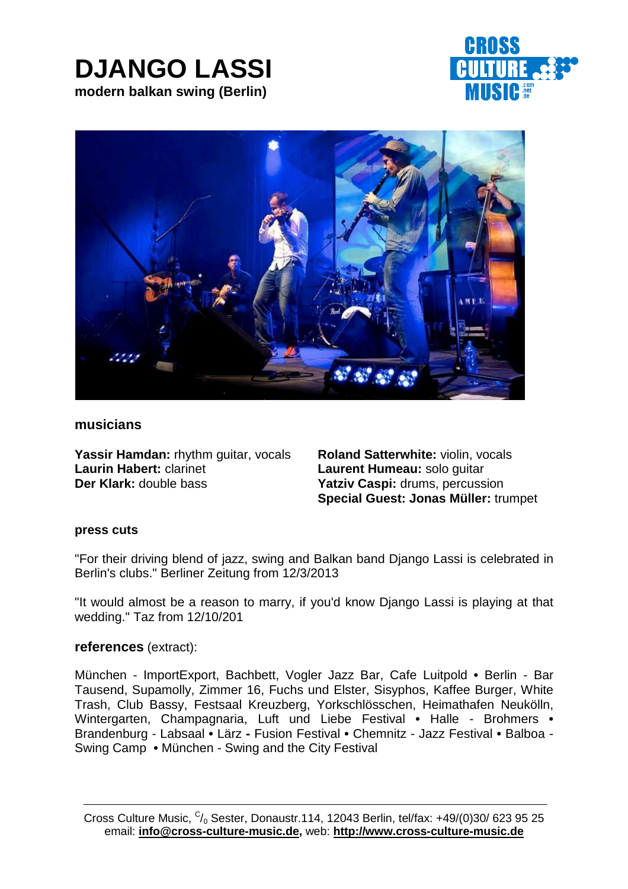## **DJANGO LASSI modern balkan swing (Berlin)**





## **musicians**

**Yassir Hamdan:** rhythm guitar, vocals **Roland Satterwhite:** violin, vocals **Laurin Habert:** clarinet **Laurent Humeau:** solo guitar **Der Klark:** double bass **Yatziv Caspi:** drums, percussion

**Special Guest: Jonas Müller:** trumpet

#### **press cuts**

"For their driving blend of jazz, swing and Balkan band Django Lassi is celebrated in Berlin's clubs." Berliner Zeitung from 12/3/2013

"It would almost be a reason to marry, if you'd know Django Lassi is playing at that wedding." Taz from 12/10/201

### **references** (extract):

München - ImportExport, Bachbett, Vogler Jazz Bar, Cafe Luitpold **•** Berlin - Bar Tausend, Supamolly, Zimmer 16, Fuchs und Elster, Sisyphos, Kaffee Burger, White Trash, Club Bassy, Festsaal Kreuzberg, Yorkschlösschen, Heimathafen Neukölln, Wintergarten, Champagnaria, Luft und Liebe Festival **•** Halle - Brohmers **•** Brandenburg - Labsaal **•** Lärz **-** Fusion Festival **•** Chemnitz - Jazz Festival **•** Balboa - Swing Camp **•** München - Swing and the City Festival

Cross Culture Music,  $C/0$  Sester, Donaustr.114, 12043 Berlin, tel/fax: +49/(0)30/ 623 95 25 email: **info@cross-culture-music.de,** web: **http://www.cross-culture-music.de**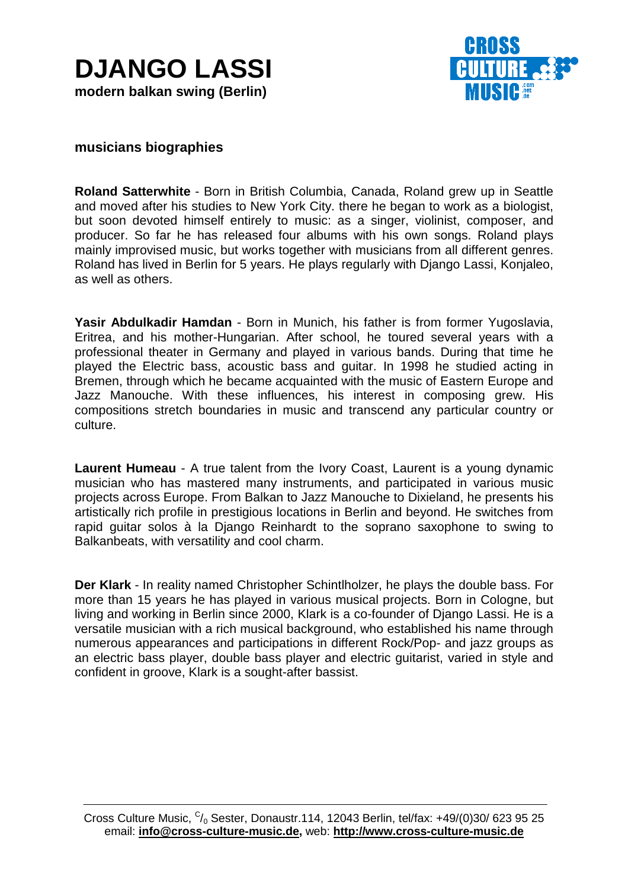



## **musicians biographies**

**Roland Satterwhite** - Born in British Columbia, Canada, Roland grew up in Seattle and moved after his studies to New York City. there he began to work as a biologist, but soon devoted himself entirely to music: as a singer, violinist, composer, and producer. So far he has released four albums with his own songs. Roland plays mainly improvised music, but works together with musicians from all different genres. Roland has lived in Berlin for 5 years. He plays regularly with Django Lassi, Konjaleo, as well as others.

**Yasir Abdulkadir Hamdan** - Born in Munich, his father is from former Yugoslavia, Eritrea, and his mother-Hungarian. After school, he toured several years with a professional theater in Germany and played in various bands. During that time he played the Electric bass, acoustic bass and guitar. In 1998 he studied acting in Bremen, through which he became acquainted with the music of Eastern Europe and Jazz Manouche. With these influences, his interest in composing grew. His compositions stretch boundaries in music and transcend any particular country or culture.

**Laurent Humeau** - A true talent from the Ivory Coast, Laurent is a young dynamic musician who has mastered many instruments, and participated in various music projects across Europe. From Balkan to Jazz Manouche to Dixieland, he presents his artistically rich profile in prestigious locations in Berlin and beyond. He switches from rapid guitar solos à la Django Reinhardt to the soprano saxophone to swing to Balkanbeats, with versatility and cool charm.

**Der Klark** - In reality named Christopher Schintlholzer, he plays the double bass. For more than 15 years he has played in various musical projects. Born in Cologne, but living and working in Berlin since 2000, Klark is a co-founder of Django Lassi. He is a versatile musician with a rich musical background, who established his name through numerous appearances and participations in different Rock/Pop- and jazz groups as an electric bass player, double bass player and electric guitarist, varied in style and confident in groove, Klark is a sought-after bassist.

Cross Culture Music,  $C/0$  Sester, Donaustr.114, 12043 Berlin, tel/fax: +49/(0)30/ 623 95 25 email: **info@cross-culture-music.de,** web: **http://www.cross-culture-music.de**